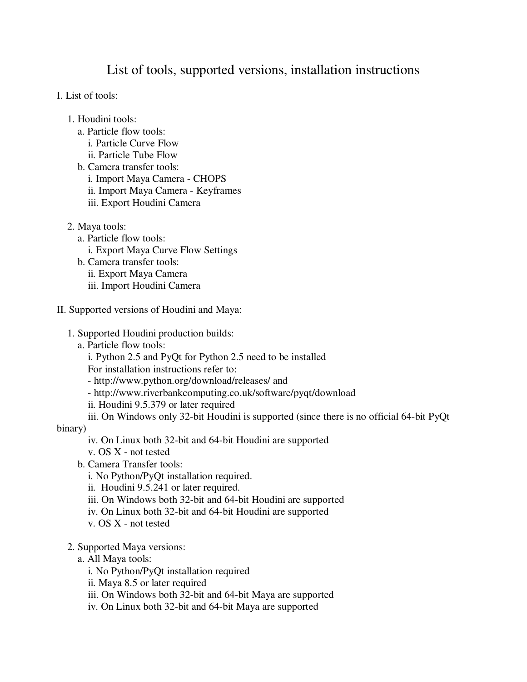## List of tools, supported versions, installation instructions

- I. List of tools:
	- 1. Houdini tools:
		- a. Particle flow tools:
			- i. Particle Curve Flow
		- ii. Particle Tube Flow b. Camera transfer tools:
		- i. Import Maya Camera CHOPS ii. Import Maya Camera - Keyframes iii. Export Houdini Camera
	- 2. Maya tools:
		- a. Particle flow tools:
			- i. Export Maya Curve Flow Settings
		- b. Camera transfer tools: ii. Export Maya Camera iii. Import Houdini Camera
- II. Supported versions of Houdini and Maya:
	- 1. Supported Houdini production builds:
		- a. Particle flow tools:
			- i. Python 2.5 and PyQt for Python 2.5 need to be installed
			- For installation instructions refer to:
			- http://www.python.org/download/releases/ and
			- http://www.riverbankcomputing.co.uk/software/pyqt/download
			- ii. Houdini 9.5.379 or later required
			- iii. On Windows only 32-bit Houdini is supported (since there is no official 64-bit PyQt

## binary)

- iv. On Linux both 32-bit and 64-bit Houdini are supported
- v. OS X not tested
- b. Camera Transfer tools:
	- i. No Python/PyQt installation required.
	- ii. Houdini 9.5.241 or later required.
	- iii. On Windows both 32-bit and 64-bit Houdini are supported
	- iv. On Linux both 32-bit and 64-bit Houdini are supported
	- v. OS X not tested

## 2. Supported Maya versions:

- a. All Maya tools:
	- i. No Python/PyQt installation required
	- ii. Maya 8.5 or later required
	- iii. On Windows both 32-bit and 64-bit Maya are supported
	- iv. On Linux both 32-bit and 64-bit Maya are supported